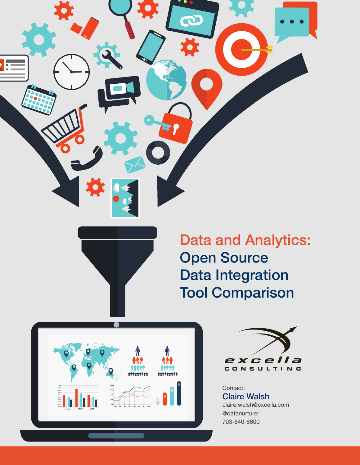



Data and Analytics: Open Source Data Integration Tool Comparison





Claire Walsh claire.walsh@excella.com @datanurturer 703-840-8600 Contact: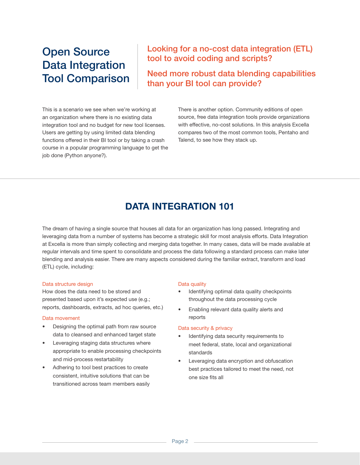# Open Source Data Integration Tool Comparison

### Looking for a no-cost data integration (ETL) tool to avoid coding and scripts?

Need more robust data blending capabilities than your BI tool can provide?

This is a scenario we see when we're working at an organization where there is no existing data integration tool and no budget for new tool licenses. Users are getting by using limited data blending functions offered in their BI tool or by taking a crash course in a popular programming language to get the job done (Python anyone?).

There is another option. Community editions of open source, free data integration tools provide organizations with effective, no-cost solutions. In this analysis Excella compares two of the most common tools, Pentaho and Talend, to see how they stack up.

## DATA INTEGRATION 101

The dream of having a single source that houses all data for an organization has long passed. Integrating and leveraging data from a number of systems has become a strategic skill for most analysis efforts. Data Integration at Excella is more than simply collecting and merging data together. In many cases, data will be made available at regular intervals and time spent to consolidate and process the data following a standard process can make later blending and analysis easier. There are many aspects considered during the familiar extract, transform and load (ETL) cycle, including:

#### Data structure design

How does the data need to be stored and presented based upon it's expected use (e.g.; reports, dashboards, extracts, ad hoc queries, etc.)

#### Data movement

- Designing the optimal path from raw source data to cleansed and enhanced target state
- Leveraging staging data structures where appropriate to enable processing checkpoints and mid-process restartability
- Adhering to tool best practices to create consistent, intuitive solutions that can be transitioned across team members easily

#### Data quality

- Identifying optimal data quality checkpoints throughout the data processing cycle
- Enabling relevant data quality alerts and reports

#### Data security & privacy

- Identifying data security requirements to meet federal, state, local and organizational standards
- Leveraging data encryption and obfuscation best practices tailored to meet the need, not one size fits all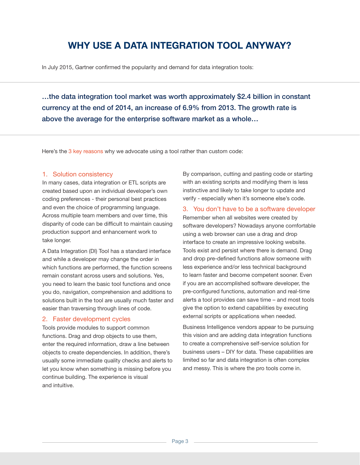## WHY USE A DATA INTEGRATION TOOL ANYWAY?

In July 2015, Gartner confirmed the popularity and demand for data integration tools:

…the data integration tool market was worth approximately \$2.4 billion in constant currency at the end of 2014, an increase of 6.9% from 2013. The growth rate is above the average for the enterprise software market as a whole…

Here's the 3 key reasons why we advocate using a tool rather than custom code:

#### 1. Solution consistency

In many cases, data integration or ETL scripts are created based upon an individual developer's own coding preferences - their personal best practices and even the choice of programming language. Across multiple team members and over time, this disparity of code can be difficult to maintain causing production support and enhancement work to take longer.

A Data Integration (DI) Tool has a standard interface and while a developer may change the order in which functions are performed, the function screens remain constant across users and solutions. Yes, you need to learn the basic tool functions and once you do, navigation, comprehension and additions to solutions built in the tool are usually much faster and easier than traversing through lines of code.

#### 2. Faster development cycles

Tools provide modules to support common functions. Drag and drop objects to use them, enter the required information, draw a line between objects to create dependencies. In addition, there's usually some immediate quality checks and alerts to let you know when something is missing before you continue building. The experience is visual and intuitive.

By comparison, cutting and pasting code or starting with an existing scripts and modifying them is less instinctive and likely to take longer to update and verify - especially when it's someone else's code.

3. You don't have to be a software developer Remember when all websites were created by software developers? Nowadays anyone comfortable using a web browser can use a drag and drop interface to create an impressive looking website. Tools exist and persist where there is demand. Drag and drop pre-defined functions allow someone with less experience and/or less technical background to learn faster and become competent sooner. Even if you are an accomplished software developer, the pre-configured functions, automation and real-time alerts a tool provides can save time – and most tools give the option to extend capabilities by executing external scripts or applications when needed.

Business Intelligence vendors appear to be pursuing this vision and are adding data integration functions to create a comprehensive self-service solution for business users – DIY for data. These capabilities are limited so far and data integration is often complex and messy. This is where the pro tools come in.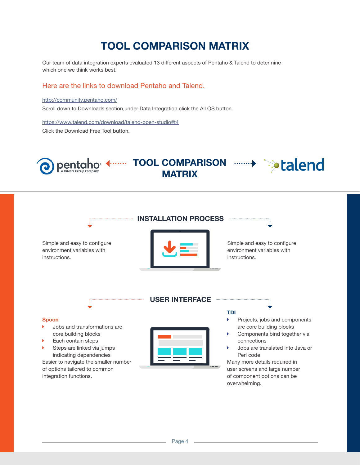# TOOL COMPARISON MATRIX

Our team of data integration experts evaluated 13 different aspects of Pentaho & Talend to determine which one we think works best.

#### Here are the links to download Pentaho and Talend.

#### http://community.pentaho.com/

Scroll down to Downloads section,under Data Integration click the All OS button.

https://www.talend.com/download/talend-open-studio#t4 Click the Download Free Tool button.

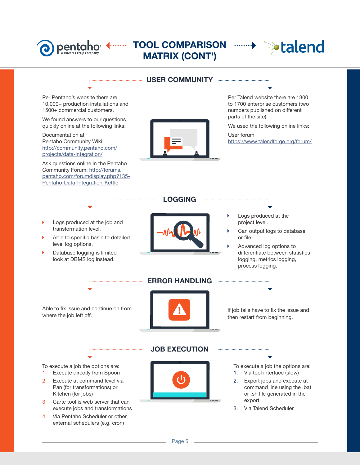

# pentaho <------ TOOL COMPARISON -------> > > talend MATRIX (CONT')



### USER COMMUNITY

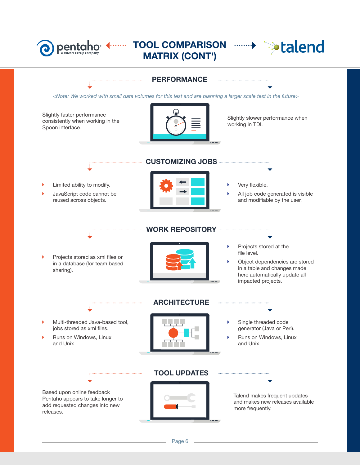

## TOOL COMPARISON MATRIX (CONT')



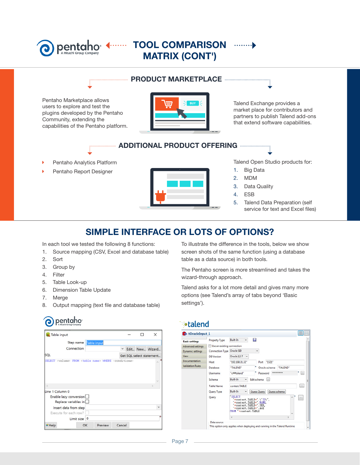### $\leftarrow$ pentaho

## TOOL COMPARISON MATRIX (CONT')

### PRODUCT MARKETPLACE

Pentaho Marketplace allows users to explore and test the plugins developed by the Pentaho Community, extending the capabilities of the Pentaho platform.



Talend Exchange provides a market place for contributors and partners to publish Talend add-ons that extend software capabilities.

### **ADDITIONAL PRODUCT OFFERING ANDITIONAL PRODUCT**

- Pentaho Analytics Platform
- Pentaho Report Designer



Talend Open Studio products for:

- 1. Big Data
- 2. MDM
- 3. Data Quality
- 4. ESB
- 5. Talend Data Preparation (self service for text and Excel files)

### SIMPLE INTERFACE OR LOTS OF OPTIONS?

In each tool we tested the following 8 functions:

- 1. Source mapping (CSV, Excel and database table)
- 2. Sort
- 3. Group by
- 4. Filter
- 5. Table Look-up
- 6. Dimension Table Update
- 7. Merge
- 8. Output mapping (text file and database table)

# pentaho

| Table input                                    |    |         |                          |  |  | $\times$        |
|------------------------------------------------|----|---------|--------------------------|--|--|-----------------|
| Step name Table input                          |    |         |                          |  |  |                 |
| Connection                                     |    |         |                          |  |  | Edit New Wizard |
| SQL                                            |    |         | Get SQL select statement |  |  |                 |
| $\epsilon$                                     |    |         |                          |  |  |                 |
| Line 1 Column 0                                |    |         |                          |  |  |                 |
| Enable lazy conversion<br>Replace variables in |    |         |                          |  |  |                 |
| Insert data from step                          |    |         |                          |  |  |                 |
| Execute for each row?                          |    |         |                          |  |  |                 |
| Limit size 0                                   |    |         |                          |  |  |                 |
| $\theta$ Help                                  | OK | Preview | Cancel                   |  |  |                 |

To illustrate the difference in the tools, below we show screen shots of the same function (using a database table as a data source) in both tools.

The Pentaho screen is more streamlined and takes the wizard-through approach.

Talend asks for a lot more detail and gives many more options (see Talend's array of tabs beyond 'Basic settings').

### **•**talend

| tOracleInput 1           |                                   |                                                                                                                                                          | 몲           |  |  |  |  |  |
|--------------------------|-----------------------------------|----------------------------------------------------------------------------------------------------------------------------------------------------------|-------------|--|--|--|--|--|
| <b>Basic settings</b>    | <b>Property Type</b>              | ы<br>Built-In                                                                                                                                            |             |  |  |  |  |  |
| <b>Advanced settings</b> | Use an existing connection        |                                                                                                                                                          |             |  |  |  |  |  |
| <b>Dynamic settings</b>  | <b>Connection Type Oracle SID</b> | ٠                                                                                                                                                        |             |  |  |  |  |  |
| <b>View</b>              | <b>DB</b> Version                 | Oracle 12-7 +                                                                                                                                            |             |  |  |  |  |  |
| Documentation            | Host                              | "192.168.31.32"<br>"1521"<br>Port                                                                                                                        |             |  |  |  |  |  |
| <b>Validation Rules</b>  | Database                          | "TALEND"<br>"TALEND"<br>Oracle schema                                                                                                                    |             |  |  |  |  |  |
|                          | Username                          | **********<br>Password<br>"c##talend"                                                                                                                    | <b>Loss</b> |  |  |  |  |  |
|                          | Schema                            | Built-In<br>Edit schema<br>int.                                                                                                                          |             |  |  |  |  |  |
|                          | <b>Table Name</b>                 | context.TABLE                                                                                                                                            | en.         |  |  |  |  |  |
|                          | Query Type                        | Built-In<br>Guess schema<br><b>Guess Query</b>                                                                                                           |             |  |  |  |  |  |
|                          | Query                             | <b>SELECT</b><br>"+context. TABLE+". \"ID\",<br>"+context. TABLE+". NAME,<br>"+context. TABLE+". SEX,<br>"+context. TABLE+". AGE<br>FROM +context. TABLE | $\sim$      |  |  |  |  |  |
|                          |                                   |                                                                                                                                                          |             |  |  |  |  |  |
|                          | Data source                       | This option only applies when deploying and running in the Talend Runtime                                                                                |             |  |  |  |  |  |